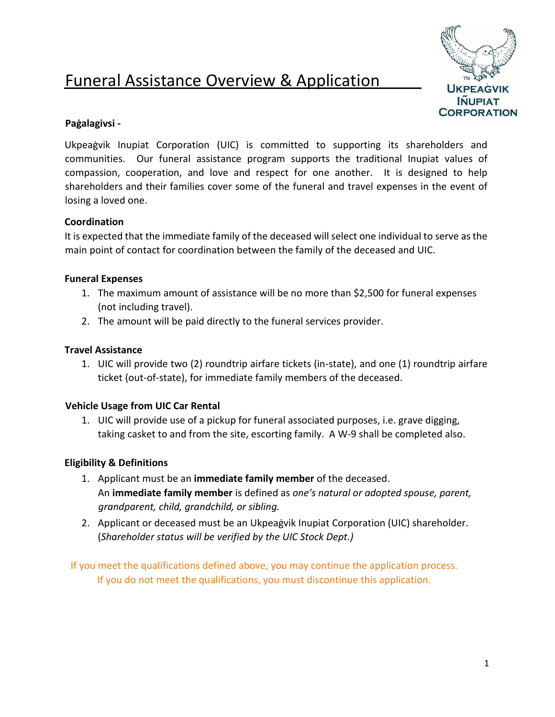# Funeral Assistance Overview & Application



# **Paġalagivsi -**

Ukpeaġvik Inupiat Corporation (UIC) is committed to supporting its shareholders and communities. Our funeral assistance program supports the traditional Inupiat values of compassion, cooperation, and love and respect for one another. It is designed to help shareholders and their families cover some of the funeral and travel expenses in the event of losing a loved one.

# **Coordination**

It is expected that the immediate family of the deceased will select one individual to serve as the main point of contact for coordination between the family of the deceased and UIC.

# **Funeral Expenses**

- 1. The maximum amount of assistance will be no more than \$2,500 for funeral expenses (not including travel).
- 2. The amount will be paid directly to the funeral services provider.

#### **Travel Assistance**

1. UIC will provide two (2) roundtrip airfare tickets (in-state), and one (1) roundtrip airfare ticket (out-of-state), for immediate family members of the deceased.

# **Vehicle Usage from UIC Car Rental**

1. UIC will provide use of a pickup for funeral associated purposes, i.e. grave digging, taking casket to and from the site, escorting family. A W-9 shall be completed also.

# **Eligibility & Definitions**

- 1. Applicant must be an **immediate family member** of the deceased. An **immediate family member** is defined as *one's natural or adopted spouse, parent, grandparent, child, grandchild, or sibling.*
- 2. Applicant or deceased must be an Ukpeaġvik Inupiat Corporation (UIC) shareholder. (*Shareholder status will be verified by the UIC Stock Dept.)*

If you meet the qualifications defined above, you may continue the application process. If you do not meet the qualifications, you must discontinue this application.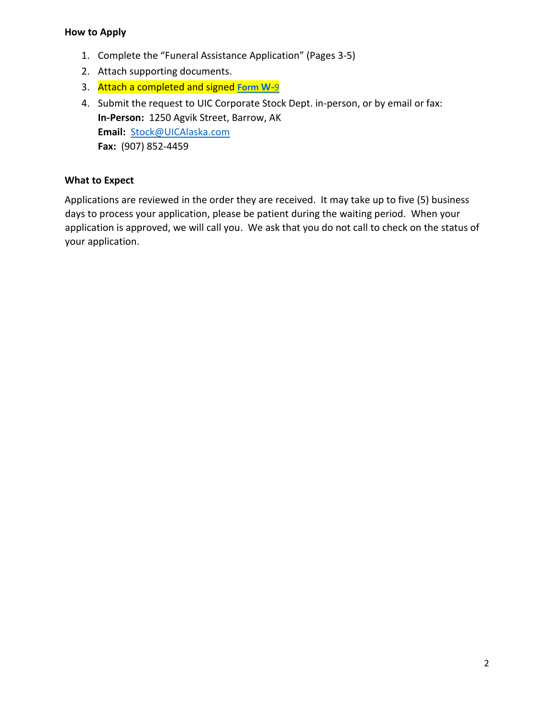#### **How to Apply**

- 1. Complete the "Funeral Assistance Application" (Pages 3-5)
- 2. Attach supporting documents.
- 3. Attach a completed and signed **[Form](https://www.irs.gov/pub/irs-pdf/fw9.pdf) [W-](https://www.irs.gov/pub/irs-pdf/fw9.pdf)**[9](https://www.irs.gov/pub/irs-pdf/fw9.pdf)
- 4. Submit the request to UIC Corporate Stock Dept. in-person, or by email or fax: **In-Person:** 1250 Agvik Street, Barrow, AK **Email:** Stock@UICAlaska.com **Fax:** (907) 852-4459

# **What to Expect**

Applications are reviewed in the order they are received. It may take up to five (5) business days to process your application, please be patient during the waiting period. When your application is approved, we will call you. We ask that you do not call to check on the status of your application.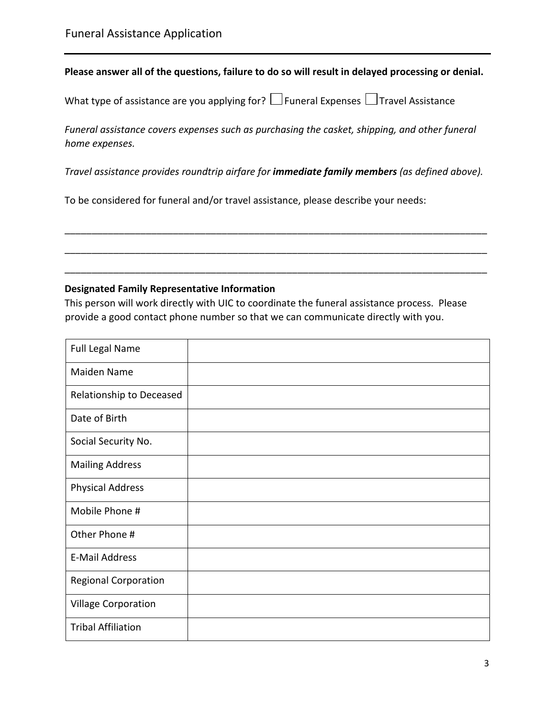#### **Please answer all of the questions, failure to do so will result in delayed processing or denial.**

| What type of assistance are you applying for? $\Box$ Funeral Expenses $\Box$ Travel Assistance |  |  |  |  |
|------------------------------------------------------------------------------------------------|--|--|--|--|
|------------------------------------------------------------------------------------------------|--|--|--|--|

*Funeral assistance covers expenses such as purchasing the casket, shipping, and other funeral home expenses.* 

*Travel assistance provides roundtrip airfare for immediate family members (as defined above).* 

\_\_\_\_\_\_\_\_\_\_\_\_\_\_\_\_\_\_\_\_\_\_\_\_\_\_\_\_\_\_\_\_\_\_\_\_\_\_\_\_\_\_\_\_\_\_\_\_\_\_\_\_\_\_\_\_\_\_\_\_\_\_\_\_\_\_\_\_\_\_\_\_\_\_\_\_\_\_

\_\_\_\_\_\_\_\_\_\_\_\_\_\_\_\_\_\_\_\_\_\_\_\_\_\_\_\_\_\_\_\_\_\_\_\_\_\_\_\_\_\_\_\_\_\_\_\_\_\_\_\_\_\_\_\_\_\_\_\_\_\_\_\_\_\_\_\_\_\_\_\_\_\_\_\_\_\_

\_\_\_\_\_\_\_\_\_\_\_\_\_\_\_\_\_\_\_\_\_\_\_\_\_\_\_\_\_\_\_\_\_\_\_\_\_\_\_\_\_\_\_\_\_\_\_\_\_\_\_\_\_\_\_\_\_\_\_\_\_\_\_\_\_\_\_\_\_\_\_\_\_\_\_\_\_\_

To be considered for funeral and/or travel assistance, please describe your needs:

#### **Designated Family Representative Information**

This person will work directly with UIC to coordinate the funeral assistance process. Please provide a good contact phone number so that we can communicate directly with you.

| <b>Full Legal Name</b>      |  |
|-----------------------------|--|
| Maiden Name                 |  |
| Relationship to Deceased    |  |
| Date of Birth               |  |
| Social Security No.         |  |
| <b>Mailing Address</b>      |  |
| <b>Physical Address</b>     |  |
| Mobile Phone #              |  |
| Other Phone #               |  |
| <b>E-Mail Address</b>       |  |
| <b>Regional Corporation</b> |  |
| <b>Village Corporation</b>  |  |
| <b>Tribal Affiliation</b>   |  |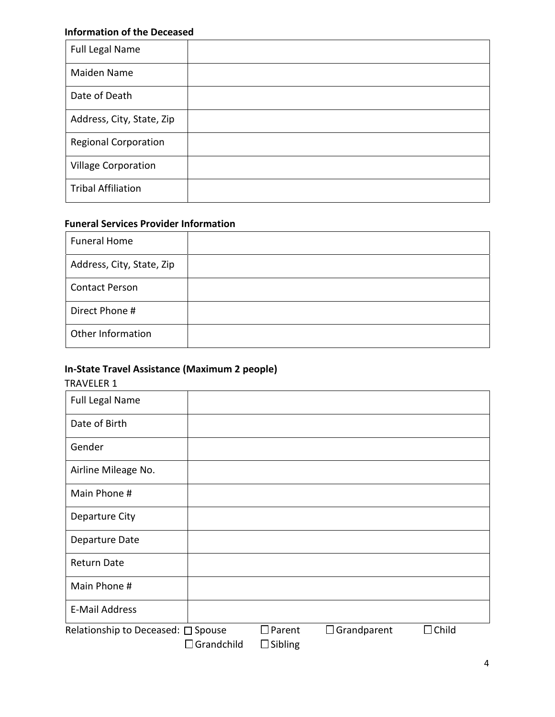## **Information of the Deceased**

| Full Legal Name             |  |
|-----------------------------|--|
| Maiden Name                 |  |
| Date of Death               |  |
| Address, City, State, Zip   |  |
| <b>Regional Corporation</b> |  |
| <b>Village Corporation</b>  |  |
| <b>Tribal Affiliation</b>   |  |

# **Funeral Services Provider Information**

| <b>Funeral Home</b>       |  |
|---------------------------|--|
| Address, City, State, Zip |  |
| <b>Contact Person</b>     |  |
| Direct Phone #            |  |
| Other Information         |  |

# **In-State Travel Assistance (Maximum 2 people)**

#### TRAVELER 1

| <b>Full Legal Name</b>             |                   |                                 |                    |              |
|------------------------------------|-------------------|---------------------------------|--------------------|--------------|
| Date of Birth                      |                   |                                 |                    |              |
| Gender                             |                   |                                 |                    |              |
| Airline Mileage No.                |                   |                                 |                    |              |
| Main Phone #                       |                   |                                 |                    |              |
| Departure City                     |                   |                                 |                    |              |
| Departure Date                     |                   |                                 |                    |              |
| <b>Return Date</b>                 |                   |                                 |                    |              |
| Main Phone #                       |                   |                                 |                    |              |
| <b>E-Mail Address</b>              |                   |                                 |                    |              |
| Relationship to Deceased: □ Spouse | $\Box$ Grandchild | $\Box$ Parent<br>$\Box$ Sibling | $\Box$ Grandparent | $\Box$ Child |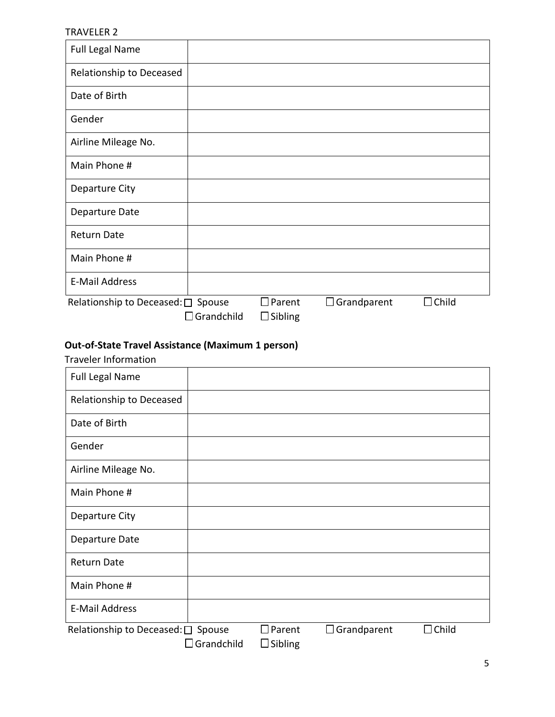#### TRAVELER 2

| <b>Full Legal Name</b>             |                   |                |                    |              |
|------------------------------------|-------------------|----------------|--------------------|--------------|
| Relationship to Deceased           |                   |                |                    |              |
| Date of Birth                      |                   |                |                    |              |
| Gender                             |                   |                |                    |              |
| Airline Mileage No.                |                   |                |                    |              |
| Main Phone #                       |                   |                |                    |              |
| Departure City                     |                   |                |                    |              |
| Departure Date                     |                   |                |                    |              |
| <b>Return Date</b>                 |                   |                |                    |              |
| Main Phone #                       |                   |                |                    |              |
| <b>E-Mail Address</b>              |                   |                |                    |              |
| Relationship to Deceased: □ Spouse |                   | $\Box$ Parent  | $\Box$ Grandparent | $\Box$ Child |
|                                    | $\Box$ Grandchild | $\Box$ Sibling |                    |              |

# **Out-of-State Travel Assistance (Maximum 1 person)**

Traveler Information

| <b>Full Legal Name</b>             |                      |                                    |                    |              |
|------------------------------------|----------------------|------------------------------------|--------------------|--------------|
| Relationship to Deceased           |                      |                                    |                    |              |
| Date of Birth                      |                      |                                    |                    |              |
| Gender                             |                      |                                    |                    |              |
| Airline Mileage No.                |                      |                                    |                    |              |
| Main Phone #                       |                      |                                    |                    |              |
| Departure City                     |                      |                                    |                    |              |
| Departure Date                     |                      |                                    |                    |              |
| <b>Return Date</b>                 |                      |                                    |                    |              |
| Main Phone #                       |                      |                                    |                    |              |
| <b>E-Mail Address</b>              |                      |                                    |                    |              |
| Relationship to Deceased: □ Spouse | $\square$ Grandchild | $\square$ Parent<br>$\Box$ Sibling | $\Box$ Grandparent | $\Box$ Child |